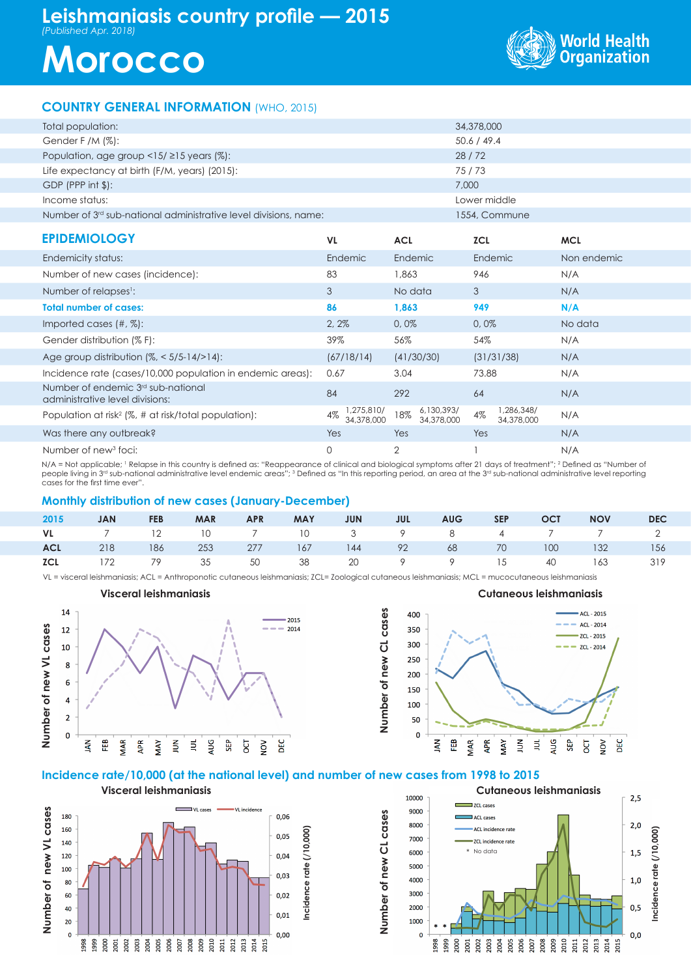## **Leishmaniasis country profile — 2015** *(Published Apr. 2018)*

# **Morocco**



### **COUNTRY GENERAL INFORMATION** (WHO, 2015)

| Total population:                                                                 |                                |                                 | 34,378,000                     |             |  |  |
|-----------------------------------------------------------------------------------|--------------------------------|---------------------------------|--------------------------------|-------------|--|--|
| Gender F /M $(\%)$ :                                                              | 50.6 / 49.4                    |                                 |                                |             |  |  |
| Population, age group $\langle 15/215 \rangle$ years (%):                         |                                | 28/72                           |                                |             |  |  |
| Life expectancy at birth (F/M, years) (2015):                                     |                                |                                 | 75/73                          |             |  |  |
| $GDP$ (PPP int $\frac{1}{2}$ ):                                                   |                                |                                 | 7,000                          |             |  |  |
| Income status:                                                                    |                                |                                 | Lower middle                   |             |  |  |
| Number of $3rd$ sub-national administrative level divisions, name:                |                                |                                 | 1554, Commune                  |             |  |  |
| <b>EPIDEMIOLOGY</b>                                                               | <b>VL</b>                      | <b>ACL</b>                      | <b>ZCL</b>                     | <b>MCL</b>  |  |  |
| Endemicity status:                                                                | Endemic                        | Endemic                         | Endemic                        | Non endemic |  |  |
| Number of new cases (incidence):                                                  | 83                             | 1,863                           | 946                            | N/A         |  |  |
| Number of relapses <sup>1</sup> :                                                 | 3                              | No data                         | 3                              | N/A         |  |  |
| <b>Total number of cases:</b>                                                     | 86                             | 1,863                           | 949                            | N/A         |  |  |
| Imported cases $(\#,\%)$ :                                                        | 2,2%                           | 0,0%                            | 0,0%                           | No data     |  |  |
| Gender distribution (% F):                                                        | 39%                            | 56%                             | 54%                            | N/A         |  |  |
| Age group distribution $(\%,-5/5-14/>14)$ :                                       | (67/18/14)                     | (41/30/30)                      | (31/31/38)                     | N/A         |  |  |
| Incidence rate (cases/10,000 population in endemic areas):                        | 0.67                           | 3.04                            | 73.88                          | N/A         |  |  |
| Number of endemic 3 <sup>rd</sup> sub-national<br>administrative level divisions: | 84                             | 292                             | 64                             | N/A         |  |  |
| Population at risk <sup>2</sup> (%, # at risk/total population):                  | 1,275,810/<br>4%<br>34,378,000 | 6,130,393/<br>18%<br>34,378,000 | 1,286,348/<br>4%<br>34,378,000 | N/A         |  |  |
| Was there any outbreak?                                                           | Yes                            | Yes                             | Yes                            | N/A         |  |  |
| Number of new <sup>3</sup> foci:                                                  | 0                              | 2                               |                                | N/A         |  |  |

N/A = Not applicable; ' Relapse in this country is defined as: "Reappearance of clinical and biological symptoms after 21 days of treatment"; 2 Defined as "Number of people living in 3<sup>rd</sup> sub-national administrative level endemic areas"; <sup>3</sup> Defined as "In this reporting period, an area at the 3rd sub-national administrative level reporting cases for the first time ever".

### **Monthly distribution of new cases (January-December)**

| 2015       | <b>JAN</b> | <b>FEB</b> | <b>MAR</b> | <b>APR</b> | MAY JUN | <b>State State State</b> | AUG SEP | <b>OCT</b> | <b>NOV</b>                                      | <b>DEC</b> |
|------------|------------|------------|------------|------------|---------|--------------------------|---------|------------|-------------------------------------------------|------------|
|            |            |            |            |            |         |                          |         |            | VL 7 12 10 7 10 3 9 8 4 7 7 2                   |            |
| <b>ACL</b> |            |            |            |            |         |                          |         |            | 218 186 253 277 167 144 92 68 70 100 132 156    |            |
|            |            |            |            |            |         |                          |         |            | <b>ICL</b> 172 79 35 50 38 20 9 9 15 40 163 319 |            |

**Number of new CL cases**

Number of new CL cases

VL = visceral leishmaniasis; ACL = Anthroponotic cutaneous leishmaniasis; ZCL= Zoological cutaneous leishmaniasis; MCL = mucocutaneous leishmaniasis





### **Incidence rate/10,000 (at the national level) and number of new cases from 1998 to 2015**

**Visceral leishmaniasis** Number of new VL cases VL cases VL incidence **Number of new VL cases** 180 0,06 160 **Incidence rate (/10,000)** Incidence rate (/10,000)  $0,05$ 140 120  $0,04$ 100  $0,03$ 80 60  $0,02$ 40  $0,01$  $\overline{20}$  $0,00$  $\mathbf{c}$ asi este de la construction de la construction de la construction de la construction de la construction de la<br>La construction de la construction de la construction de la construction de la construction de la construction<br>L